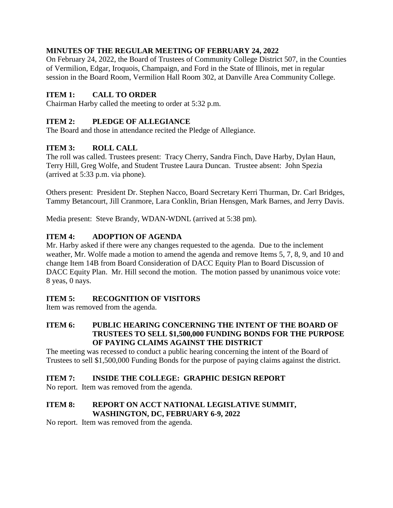# **MINUTES OF THE REGULAR MEETING OF FEBRUARY 24, 2022**

On February 24, 2022, the Board of Trustees of Community College District 507, in the Counties of Vermilion, Edgar, Iroquois, Champaign, and Ford in the State of Illinois, met in regular session in the Board Room, Vermilion Hall Room 302, at Danville Area Community College.

# **ITEM 1: CALL TO ORDER**

Chairman Harby called the meeting to order at 5:32 p.m.

## **ITEM 2: PLEDGE OF ALLEGIANCE**

The Board and those in attendance recited the Pledge of Allegiance.

# **ITEM 3: ROLL CALL**

The roll was called. Trustees present: Tracy Cherry, Sandra Finch, Dave Harby, Dylan Haun, Terry Hill, Greg Wolfe, and Student Trustee Laura Duncan. Trustee absent: John Spezia (arrived at 5:33 p.m. via phone).

Others present: President Dr. Stephen Nacco, Board Secretary Kerri Thurman, Dr. Carl Bridges, Tammy Betancourt, Jill Cranmore, Lara Conklin, Brian Hensgen, Mark Barnes, and Jerry Davis.

Media present: Steve Brandy, WDAN-WDNL (arrived at 5:38 pm).

# **ITEM 4: ADOPTION OF AGENDA**

Mr. Harby asked if there were any changes requested to the agenda. Due to the inclement weather, Mr. Wolfe made a motion to amend the agenda and remove Items 5, 7, 8, 9, and 10 and change Item 14B from Board Consideration of DACC Equity Plan to Board Discussion of DACC Equity Plan. Mr. Hill second the motion. The motion passed by unanimous voice vote: 8 yeas, 0 nays.

## **ITEM 5: RECOGNITION OF VISITORS**

Item was removed from the agenda.

## **ITEM 6: PUBLIC HEARING CONCERNING THE INTENT OF THE BOARD OF TRUSTEES TO SELL \$1,500,000 FUNDING BONDS FOR THE PURPOSE OF PAYING CLAIMS AGAINST THE DISTRICT**

The meeting was recessed to conduct a public hearing concerning the intent of the Board of Trustees to sell \$1,500,000 Funding Bonds for the purpose of paying claims against the district.

## **ITEM 7: INSIDE THE COLLEGE: GRAPHIC DESIGN REPORT**

No report. Item was removed from the agenda.

## **ITEM 8: REPORT ON ACCT NATIONAL LEGISLATIVE SUMMIT, WASHINGTON, DC, FEBRUARY 6-9, 2022**

No report. Item was removed from the agenda.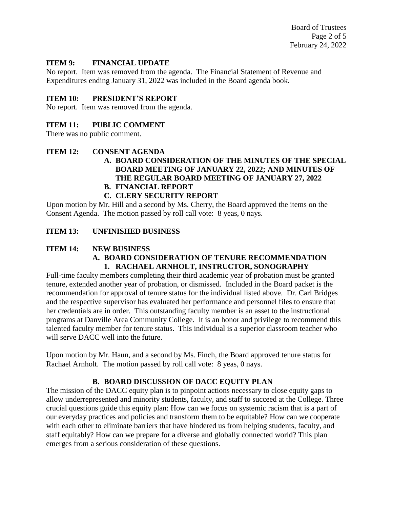Board of Trustees Page 2 of 5 February 24, 2022

#### **ITEM 9: FINANCIAL UPDATE**

No report. Item was removed from the agenda. The Financial Statement of Revenue and Expenditures ending January 31, 2022 was included in the Board agenda book.

#### **ITEM 10: PRESIDENT'S REPORT**

No report. Item was removed from the agenda.

#### **ITEM 11: PUBLIC COMMENT**

There was no public comment.

#### **ITEM 12: CONSENT AGENDA**

# **A. BOARD CONSIDERATION OF THE MINUTES OF THE SPECIAL BOARD MEETING OF JANUARY 22, 2022; AND MINUTES OF THE REGULAR BOARD MEETING OF JANUARY 27, 2022**

**B. FINANCIAL REPORT**

# **C. CLERY SECURITY REPORT**

Upon motion by Mr. Hill and a second by Ms. Cherry, the Board approved the items on the Consent Agenda. The motion passed by roll call vote: 8 yeas, 0 nays.

## **ITEM 13: UNFINISHED BUSINESS**

#### **ITEM 14: NEW BUSINESS A. BOARD CONSIDERATION OF TENURE RECOMMENDATION 1. RACHAEL ARNHOLT, INSTRUCTOR, SONOGRAPHY**

Full-time faculty members completing their third academic year of probation must be granted tenure, extended another year of probation, or dismissed. Included in the Board packet is the recommendation for approval of tenure status for the individual listed above. Dr. Carl Bridges and the respective supervisor has evaluated her performance and personnel files to ensure that her credentials are in order. This outstanding faculty member is an asset to the instructional programs at Danville Area Community College. It is an honor and privilege to recommend this talented faculty member for tenure status. This individual is a superior classroom teacher who will serve DACC well into the future.

Upon motion by Mr. Haun, and a second by Ms. Finch, the Board approved tenure status for Rachael Arnholt. The motion passed by roll call vote: 8 yeas, 0 nays.

## **B. BOARD DISCUSSION OF DACC EQUITY PLAN**

The mission of the DACC equity plan is to pinpoint actions necessary to close equity gaps to allow underrepresented and minority students, faculty, and staff to succeed at the College. Three crucial questions guide this equity plan: How can we focus on systemic racism that is a part of our everyday practices and policies and transform them to be equitable? How can we cooperate with each other to eliminate barriers that have hindered us from helping students, faculty, and staff equitably? How can we prepare for a diverse and globally connected world? This plan emerges from a serious consideration of these questions.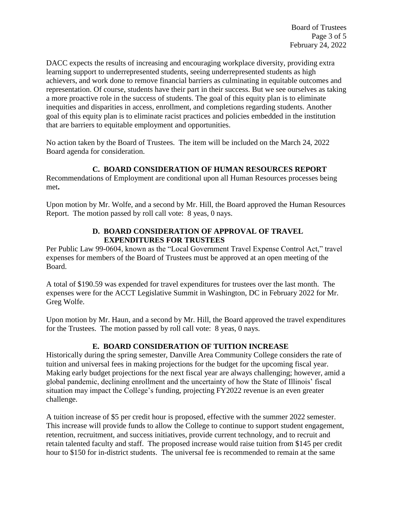DACC expects the results of increasing and encouraging workplace diversity, providing extra learning support to underrepresented students, seeing underrepresented students as high achievers, and work done to remove financial barriers as culminating in equitable outcomes and representation. Of course, students have their part in their success. But we see ourselves as taking a more proactive role in the success of students. The goal of this equity plan is to eliminate inequities and disparities in access, enrollment, and completions regarding students. Another goal of this equity plan is to eliminate racist practices and policies embedded in the institution that are barriers to equitable employment and opportunities.

No action taken by the Board of Trustees. The item will be included on the March 24, 2022 Board agenda for consideration.

## **C. BOARD CONSIDERATION OF HUMAN RESOURCES REPORT**

Recommendations of Employment are conditional upon all Human Resources processes being met**.** 

Upon motion by Mr. Wolfe, and a second by Mr. Hill, the Board approved the Human Resources Report. The motion passed by roll call vote: 8 yeas, 0 nays.

## **D. BOARD CONSIDERATION OF APPROVAL OF TRAVEL EXPENDITURES FOR TRUSTEES**

Per Public Law 99-0604, known as the "Local Government Travel Expense Control Act," travel expenses for members of the Board of Trustees must be approved at an open meeting of the Board.

A total of \$190.59 was expended for travel expenditures for trustees over the last month. The expenses were for the ACCT Legislative Summit in Washington, DC in February 2022 for Mr. Greg Wolfe.

Upon motion by Mr. Haun, and a second by Mr. Hill, the Board approved the travel expenditures for the Trustees. The motion passed by roll call vote: 8 yeas, 0 nays.

# **E. BOARD CONSIDERATION OF TUITION INCREASE**

Historically during the spring semester, Danville Area Community College considers the rate of tuition and universal fees in making projections for the budget for the upcoming fiscal year. Making early budget projections for the next fiscal year are always challenging; however, amid a global pandemic, declining enrollment and the uncertainty of how the State of Illinois' fiscal situation may impact the College's funding, projecting FY2022 revenue is an even greater challenge.

A tuition increase of \$5 per credit hour is proposed, effective with the summer 2022 semester. This increase will provide funds to allow the College to continue to support student engagement, retention, recruitment, and success initiatives, provide current technology, and to recruit and retain talented faculty and staff. The proposed increase would raise tuition from \$145 per credit hour to \$150 for in-district students. The universal fee is recommended to remain at the same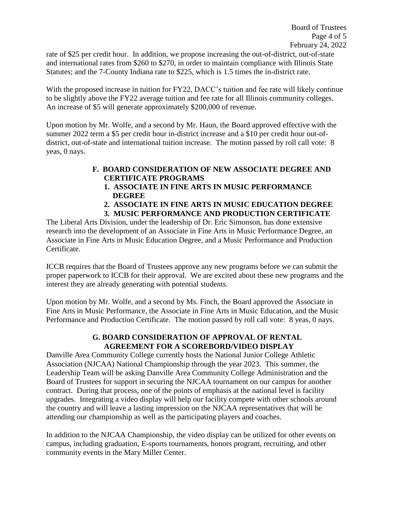rate of \$25 per credit hour. In addition, we propose increasing the out-of-district, out-of-state and international rates from \$260 to \$270, in order to maintain compliance with Illinois State Statutes; and the 7-County Indiana rate to \$225, which is 1.5 times the in-district rate.

With the proposed increase in tuition for FY22, DACC's tuition and fee rate will likely continue to be slightly above the FY22 average tuition and fee rate for all Illinois community colleges. An increase of \$5 will generate approximately \$200,000 of revenue.

Upon motion by Mr. Wolfe, and a second by Mr. Haun, the Board approved effective with the summer 2022 term a \$5 per credit hour in-district increase and a \$10 per credit hour out-ofdistrict, out-of-state and international tuition increase. The motion passed by roll call vote: 8 yeas, 0 nays.

# **F. BOARD CONSIDERATION OF NEW ASSOCIATE DEGREE AND CERTIFICATE PROGRAMS**

- **1. ASSOCIATE IN FINE ARTS IN MUSIC PERFORMANCE DEGREE**
- **2. ASSOCIATE IN FINE ARTS IN MUSIC EDUCATION DEGREE**
- **3. MUSIC PERFORMANCE AND PRODUCTION CERTIFICATE**

The Liberal Arts Division, under the leadership of Dr. Eric Simonson, has done extensive research into the development of an Associate in Fine Arts in Music Performance Degree, an Associate in Fine Arts in Music Education Degree, and a Music Performance and Production Certificate.

ICCB requires that the Board of Trustees approve any new programs before we can submit the proper paperwork to ICCB for their approval. We are excited about these new programs and the interest they are already generating with potential students.

Upon motion by Mr. Wolfe, and a second by Ms. Finch, the Board approved the Associate in Fine Arts in Music Performance, the Associate in Fine Arts in Music Education, and the Music Performance and Production Certificate. The motion passed by roll call vote: 8 yeas, 0 nays.

## **G. BOARD CONSIDERATION OF APPROVAL OF RENTAL AGREEMENT FOR A SCOREBORD/VIDEO DISPLAY**

Danville Area Community College currently hosts the National Junior College Athletic Association (NJCAA) National Championship through the year 2023. This summer, the Leadership Team will be asking Danville Area Community College Administration and the Board of Trustees for support in securing the NJCAA tournament on our campus for another contract. During that process, one of the points of emphasis at the national level is facility upgrades. Integrating a video display will help our facility compete with other schools around the country and will leave a lasting impression on the NJCAA representatives that will be attending our championship as well as the participating players and coaches.

In addition to the NJCAA Championship, the video display can be utilized for other events on campus, including graduation, E-sports tournaments, honors program, recruiting, and other community events in the Mary Miller Center.